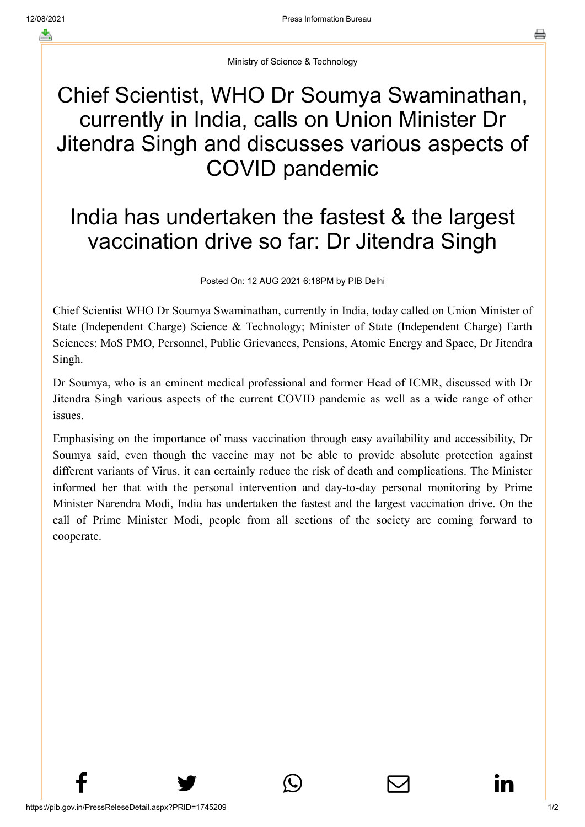Ministry of Science & Technology

## Chief Scientist, WHO Dr Soumya Swaminathan, currently in India, calls on Union Minister Dr Jitendra Singh and discusses various aspects of COVID pandemic

## India has undertaken the fastest & the largest vaccination drive so far: Dr Jitendra Singh

Posted On: 12 AUG 2021 6:18PM by PIB Delhi

Chief Scientist WHO Dr Soumya Swaminathan, currently in India, today called on Union Minister of State (Independent Charge) Science & Technology; Minister of State (Independent Charge) Earth Sciences; MoS PMO, Personnel, Public Grievances, Pensions, Atomic Energy and Space, Dr Jitendra Singh.

Dr Soumya, who is an eminent medical professional and former Head of ICMR, discussed with Dr Jitendra Singh various aspects of the current COVID pandemic as well as a wide range of other issues.

Emphasising on the importance of mass vaccination through easy availability and accessibility, Dr Soumya said, even though the vaccine may not be able to provide absolute protection against different variants of Virus, it can certainly reduce the risk of death and complications. The Minister informed her that with the personal intervention and day-to-day personal monitoring by Prime Minister Narendra Modi, India has undertaken the fastest and the largest vaccination drive. On the call of Prime Minister Modi, people from all sections of the society are coming forward to cooperate.

 $f$  y  $\circledcirc$   $\quad \circledcirc$  in